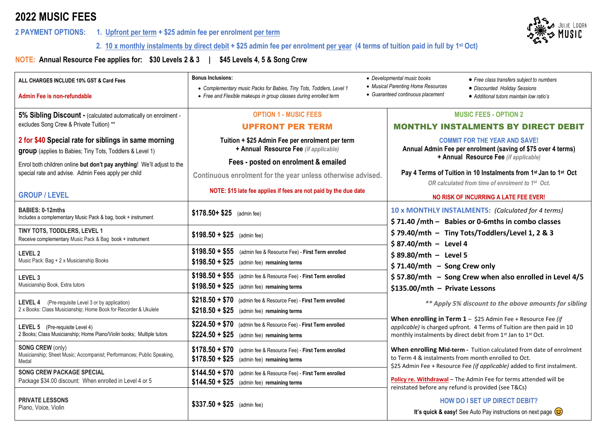# **2022 MUSIC FEES**

## **2 PAYMENT OPTIONS: 1. Upfront per term + \$25 admin fee per enrolment per term**



 **2. 10 x monthly instalments by direct debit + \$25 admin fee per enrolment per year (4 terms of tuition paid in full by 1st Oct)**

**NOTE: Annual Resource Fee applies for: \$30 Levels 2 & 3 | \$45 Levels 4, 5 & Song Crew**

| ALL CHARGES INCLUDE 10% GST & Card Fees                                                                                     | <b>Bonus Inclusions:</b>                                                                                                                  | • Developmental music books<br>• Free class transfers subject to numbers                                                                                                                                |
|-----------------------------------------------------------------------------------------------------------------------------|-------------------------------------------------------------------------------------------------------------------------------------------|---------------------------------------------------------------------------------------------------------------------------------------------------------------------------------------------------------|
| Admin Fee is non-refundable                                                                                                 | • Complementary music Packs for Babies, Tiny Tots, Toddlers, Level 1<br>• Free and Flexible makeups in group classes during enrolled term | • Musical Parenting Home Resources<br>· Discounted Holiday Sessions<br>• Guaranteed continuous placement<br>• Additional tutors maintain low ratio's                                                    |
| 5% Sibling Discount - (calculated automatically on enrolment -                                                              | <b>OPTION 1 - MUSIC FEES</b>                                                                                                              | <b>MUSIC FEES - OPTION 2</b>                                                                                                                                                                            |
| excludes Song Crew & Private Tuition) **                                                                                    | <b>UPFRONT PER TERM</b>                                                                                                                   | <b>MONTHLY INSTALMENTS BY DIRECT DEBIT</b>                                                                                                                                                              |
| 2 for \$40 Special rate for siblings in same morning<br>group (applies to Babies; Tiny Tots, Toddlers & Level 1)            | Tuition + \$25 Admin Fee per enrolment per term<br>+ Annual Resource Fee (if applicable)                                                  | <b>COMMIT FOR THE YEAR AND SAVE!</b><br>Annual Admin Fee per enrolment (saving of \$75 over 4 terms)                                                                                                    |
| Enrol both children online but don't pay anything! We'll adjust to the                                                      | Fees - posted on enrolment & emailed                                                                                                      | + Annual Resource Fee (if applicable)                                                                                                                                                                   |
| special rate and advise. Admin Fees apply per child                                                                         | Continuous enrolment for the year unless otherwise advised.                                                                               | Pay 4 Terms of Tuition in 10 Instalments from 1 <sup>st</sup> Jan to 1 <sup>st</sup> Oct<br>OR calculated from time of enrolment to 1 <sup>st</sup> Oct.                                                |
| <b>GROUP / LEVEL</b>                                                                                                        | NOTE: \$15 late fee applies if fees are not paid by the due date                                                                          | NO RISK OF INCURRING A LATE FEE EVER!                                                                                                                                                                   |
| <b>BABIES: 0-12mths</b><br>Includes a complementary Music Pack & bag, book + instrument                                     | \$178.50+ \$25 (admin fee)                                                                                                                | 10 x MONTHLY INSTALMENTS: (Calculated for 4 terms)<br>\$71.40 /mth - Babies or 0-6mths in combo classes                                                                                                 |
| TINY TOTS, TODDLERS, LEVEL 1<br>Receive complementary Music Pack & Bag book + instrument                                    | $$198.50 + $25$ (admin fee)                                                                                                               | \$79.40/mth - Tiny Tots/Toddlers/Level 1, 2 & 3<br>$$87.40/mth - Level 4$                                                                                                                               |
| LEVEL 2<br>Music Pack: Bag + 2 x Musicianship Books                                                                         | \$198.50 + \$55 (admin fee & Resource Fee) - First Term enrolled<br>$$198.50 + $25$ (admin fee) remaining terms                           | $$89.80/mth - Level 5$                                                                                                                                                                                  |
|                                                                                                                             |                                                                                                                                           | $$71.40/mth$ - Song Crew only                                                                                                                                                                           |
| LEVEL 3<br>Musicianship Book, Extra tutors                                                                                  | \$198.50 + \$55 (admin fee & Resource Fee) - First Term enrolled<br>$$198.50 + $25$ (admin fee) remaining terms                           | \$57.80/mth - Song Crew when also enrolled in Level 4/5<br>\$135.00/mth - Private Lessons                                                                                                               |
| <b>LEVEL 4</b> (Pre-requisite Level 3 or by application)<br>2 x Books: Class Musicianship; Home Book for Recorder & Ukulele | \$218.50 + \$70 (admin fee & Resource Fee) - First Term enrolled<br>$$218.50 + $25$ (admin fee) remaining terms                           | ** Apply 5% discount to the above amounts for sibling                                                                                                                                                   |
| LEVEL 5 (Pre-requisite Level 4)<br>2 Books; Class Musicianship; Home Piano/Violin books; Multiple tutors                    | \$224.50 + \$70 (admin fee & Resource Fee) - First Term enrolled<br>$$224.50 + $25$ (admin fee) remaining terms                           | When enrolling in Term $1 - $25$ Admin Fee + Resource Fee (if<br>applicable) is charged upfront. 4 Terms of Tuition are then paid in 10<br>monthly instalments by direct debit from 1st Jan to 1st Oct. |
| <b>SONG CREW (only)</b><br>Musicianship; Sheet Music; Accompanist; Performances; Public Speaking,<br>Medal                  | $$178.50 + $70$<br>(admin fee & Resource Fee) - First Term enrolled<br>$$178.50 + $25$<br>(admin fee) remaining terms                     | When enrolling Mid-term - Tuition calculated from date of enrolment<br>to Term 4 & instalments from month enrolled to Oct.<br>\$25 Admin Fee + Resource Fee (if applicable) added to first instalment.  |
| <b>SONG CREW PACKAGE SPECIAL</b><br>Package \$34.00 discount: When enrolled in Level 4 or 5                                 | $$144.50 + $70$<br>(admin fee & Resource Fee) - First Term enrolled<br>$$144.50 + $25$ (admin fee) remaining terms                        | Policy re. Withdrawal - The Admin Fee for terms attended will be<br>reinstated before any refund is provided (see T&Cs)                                                                                 |
| <b>PRIVATE LESSONS</b><br>Piano, Voice, Violin                                                                              | $$337.50 + $25$ (admin fee)                                                                                                               | <b>HOW DO I SET UP DIRECT DEBIT?</b><br>It's quick & easy! See Auto Pay instructions on next page $\circled{c}$                                                                                         |